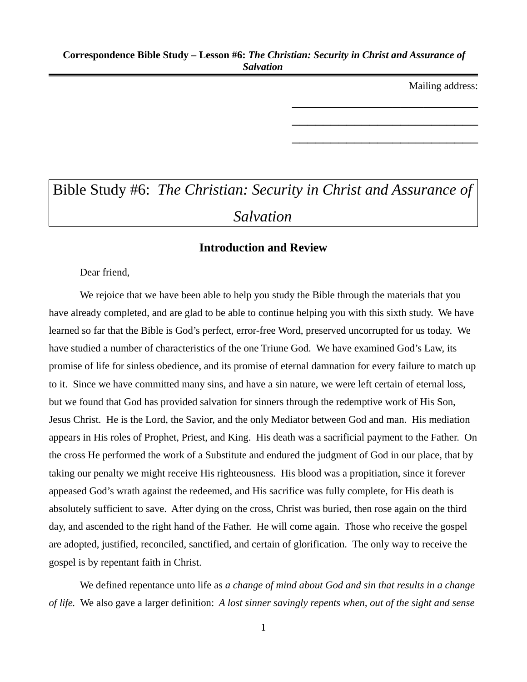Mailing address:

\_\_\_\_\_\_\_\_\_\_\_\_\_\_\_\_\_\_\_\_\_\_\_\_

\_\_\_\_\_\_\_\_\_\_\_\_\_\_\_\_\_\_\_\_\_\_\_\_

\_\_\_\_\_\_\_\_\_\_\_\_\_\_\_\_\_\_\_\_\_\_\_\_

# Bible Study #6: *The Christian: Security in Christ and Assurance of Salvation*

# **Introduction and Review**

Dear friend,

We rejoice that we have been able to help you study the Bible through the materials that you have already completed, and are glad to be able to continue helping you with this sixth study. We have learned so far that the Bible is God's perfect, error-free Word, preserved uncorrupted for us today. We have studied a number of characteristics of the one Triune God. We have examined God's Law, its promise of life for sinless obedience, and its promise of eternal damnation for every failure to match up to it. Since we have committed many sins, and have a sin nature, we were left certain of eternal loss, but we found that God has provided salvation for sinners through the redemptive work of His Son, Jesus Christ. He is the Lord, the Savior, and the only Mediator between God and man. His mediation appears in His roles of Prophet, Priest, and King. His death was a sacrificial payment to the Father. On the cross He performed the work of a Substitute and endured the judgment of God in our place, that by taking our penalty we might receive His righteousness. His blood was a propitiation, since it forever appeased God's wrath against the redeemed, and His sacrifice was fully complete, for His death is absolutely sufficient to save. After dying on the cross, Christ was buried, then rose again on the third day, and ascended to the right hand of the Father. He will come again. Those who receive the gospel are adopted, justified, reconciled, sanctified, and certain of glorification. The only way to receive the gospel is by repentant faith in Christ.

We defined repentance unto life as *a change of mind about God and sin that results in a change of life.* We also gave a larger definition: *A lost sinner savingly repents when, out of the sight and sense*

1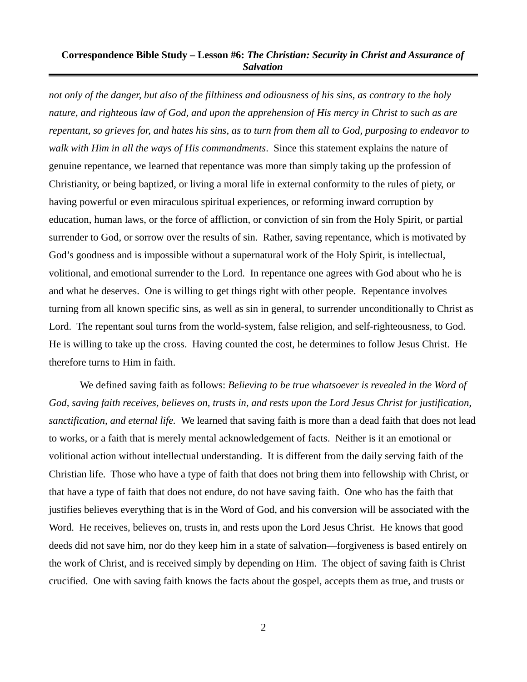*not only of the danger, but also of the filthiness and odiousness of his sins, as contrary to the holy nature, and righteous law of God, and upon the apprehension of His mercy in Christ to such as are repentant, so grieves for, and hates his sins, as to turn from them all to God, purposing to endeavor to walk with Him in all the ways of His commandments*. Since this statement explains the nature of genuine repentance, we learned that repentance was more than simply taking up the profession of Christianity, or being baptized, or living a moral life in external conformity to the rules of piety, or having powerful or even miraculous spiritual experiences, or reforming inward corruption by education, human laws, or the force of affliction, or conviction of sin from the Holy Spirit, or partial surrender to God, or sorrow over the results of sin. Rather, saving repentance, which is motivated by God's goodness and is impossible without a supernatural work of the Holy Spirit, is intellectual, volitional, and emotional surrender to the Lord. In repentance one agrees with God about who he is and what he deserves. One is willing to get things right with other people. Repentance involves turning from all known specific sins, as well as sin in general, to surrender unconditionally to Christ as Lord. The repentant soul turns from the world-system, false religion, and self-righteousness, to God. He is willing to take up the cross. Having counted the cost, he determines to follow Jesus Christ. He therefore turns to Him in faith.

We defined saving faith as follows: *Believing to be true whatsoever is revealed in the Word of God, saving faith receives, believes on, trusts in, and rests upon the Lord Jesus Christ for justification, sanctification, and eternal life.* We learned that saving faith is more than a dead faith that does not lead to works, or a faith that is merely mental acknowledgement of facts. Neither is it an emotional or volitional action without intellectual understanding. It is different from the daily serving faith of the Christian life. Those who have a type of faith that does not bring them into fellowship with Christ, or that have a type of faith that does not endure, do not have saving faith. One who has the faith that justifies believes everything that is in the Word of God, and his conversion will be associated with the Word. He receives, believes on, trusts in, and rests upon the Lord Jesus Christ. He knows that good deeds did not save him, nor do they keep him in a state of salvation—forgiveness is based entirely on the work of Christ, and is received simply by depending on Him. The object of saving faith is Christ crucified. One with saving faith knows the facts about the gospel, accepts them as true, and trusts or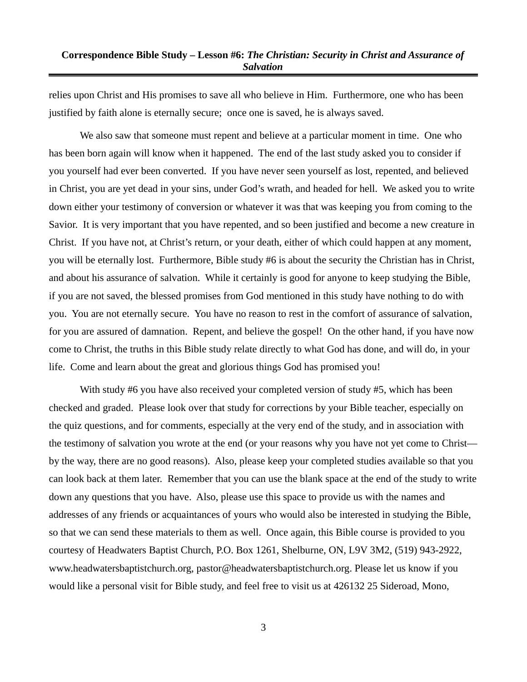relies upon Christ and His promises to save all who believe in Him. Furthermore, one who has been justified by faith alone is eternally secure; once one is saved, he is always saved.

We also saw that someone must repent and believe at a particular moment in time. One who has been born again will know when it happened. The end of the last study asked you to consider if you yourself had ever been converted. If you have never seen yourself as lost, repented, and believed in Christ, you are yet dead in your sins, under God's wrath, and headed for hell. We asked you to write down either your testimony of conversion or whatever it was that was keeping you from coming to the Savior. It is very important that you have repented, and so been justified and become a new creature in Christ. If you have not, at Christ's return, or your death, either of which could happen at any moment, you will be eternally lost. Furthermore, Bible study #6 is about the security the Christian has in Christ, and about his assurance of salvation. While it certainly is good for anyone to keep studying the Bible, if you are not saved, the blessed promises from God mentioned in this study have nothing to do with you. You are not eternally secure. You have no reason to rest in the comfort of assurance of salvation, for you are assured of damnation. Repent, and believe the gospel! On the other hand, if you have now come to Christ, the truths in this Bible study relate directly to what God has done, and will do, in your life. Come and learn about the great and glorious things God has promised you!

With study #6 you have also received your completed version of study #5, which has been checked and graded. Please look over that study for corrections by your Bible teacher, especially on the quiz questions, and for comments, especially at the very end of the study, and in association with the testimony of salvation you wrote at the end (or your reasons why you have not yet come to Christ by the way, there are no good reasons). Also, please keep your completed studies available so that you can look back at them later. Remember that you can use the blank space at the end of the study to write down any questions that you have. Also, please use this space to provide us with the names and addresses of any friends or acquaintances of yours who would also be interested in studying the Bible, so that we can send these materials to them as well. Once again, this Bible course is provided to you courtesy of Headwaters Baptist Church, P.O. Box 1261, Shelburne, ON, L9V 3M2, (519) 943-2922, www.headwatersbaptistchurch.org, pastor@headwatersbaptistchurch.org. Please let us know if you would like a personal visit for Bible study, and feel free to visit us at 426132 25 Sideroad, Mono,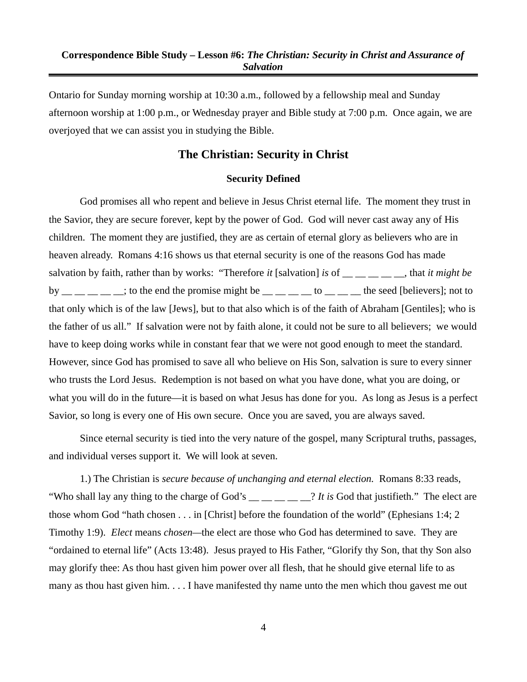Ontario for Sunday morning worship at 10:30 a.m., followed by a fellowship meal and Sunday afternoon worship at 1:00 p.m., or Wednesday prayer and Bible study at 7:00 p.m. Once again, we are overjoyed that we can assist you in studying the Bible.

# **The Christian: Security in Christ**

#### **Security Defined**

God promises all who repent and believe in Jesus Christ eternal life. The moment they trust in the Savior, they are secure forever, kept by the power of God. God will never cast away any of His children. The moment they are justified, they are as certain of eternal glory as believers who are in heaven already. Romans 4:16 shows us that eternal security is one of the reasons God has made salvation by faith, rather than by works: "Therefore *it* [salvation] *is* of \_\_ \_\_ \_\_ \_\_ \_\_, that *it might be* by  $\frac{1}{2}$   $\frac{1}{2}$   $\frac{1}{2}$   $\frac{1}{2}$ ; to the end the promise might be  $\frac{1}{2}$   $\frac{1}{2}$   $\frac{1}{2}$  to  $\frac{1}{2}$   $\frac{1}{2}$  the seed [believers]; not to that only which is of the law [Jews], but to that also which is of the faith of Abraham [Gentiles]; who is the father of us all." If salvation were not by faith alone, it could not be sure to all believers; we would have to keep doing works while in constant fear that we were not good enough to meet the standard. However, since God has promised to save all who believe on His Son, salvation is sure to every sinner who trusts the Lord Jesus. Redemption is not based on what you have done, what you are doing, or what you will do in the future—it is based on what Jesus has done for you. As long as Jesus is a perfect Savior, so long is every one of His own secure. Once you are saved, you are always saved.

Since eternal security is tied into the very nature of the gospel, many Scriptural truths, passages, and individual verses support it. We will look at seven.

1.) The Christian is *secure because of unchanging and eternal election.* Romans 8:33 reads, "Who shall lay any thing to the charge of God's \_\_ \_ \_ \_ \_ \_ \_? *It is* God that justifieth." The elect are those whom God "hath chosen . . . in [Christ] before the foundation of the world" (Ephesians 1:4; 2 Timothy 1:9). *Elect* means *chosen—*the elect are those who God has determined to save. They are "ordained to eternal life" (Acts 13:48). Jesus prayed to His Father, "Glorify thy Son, that thy Son also may glorify thee: As thou hast given him power over all flesh, that he should give eternal life to as many as thou hast given him. . . . I have manifested thy name unto the men which thou gavest me out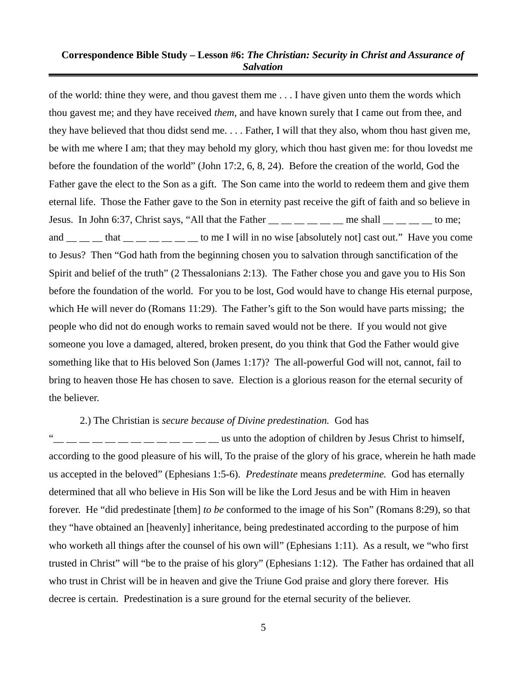of the world: thine they were, and thou gavest them me . . . I have given unto them the words which thou gavest me; and they have received *them*, and have known surely that I came out from thee, and they have believed that thou didst send me. . . . Father, I will that they also, whom thou hast given me, be with me where I am; that they may behold my glory, which thou hast given me: for thou lovedst me before the foundation of the world" (John 17:2, 6, 8, 24). Before the creation of the world, God the Father gave the elect to the Son as a gift. The Son came into the world to redeem them and give them eternal life. Those the Father gave to the Son in eternity past receive the gift of faith and so believe in Jesus. In John 6:37, Christ says, "All that the Father  $\frac{m}{m}$   $\frac{m}{m}$   $\frac{m}{m}$  me shall  $\frac{m}{m}$   $\frac{m}{m}$  to me; and that the state of the I will in no wise [absolutely not] cast out." Have you come to Jesus? Then "God hath from the beginning chosen you to salvation through sanctification of the Spirit and belief of the truth" (2 Thessalonians 2:13). The Father chose you and gave you to His Son before the foundation of the world. For you to be lost, God would have to change His eternal purpose, which He will never do (Romans 11:29). The Father's gift to the Son would have parts missing; the people who did not do enough works to remain saved would not be there. If you would not give someone you love a damaged, altered, broken present, do you think that God the Father would give something like that to His beloved Son (James 1:17)? The all-powerful God will not, cannot, fail to bring to heaven those He has chosen to save. Election is a glorious reason for the eternal security of the believer.

#### 2.) The Christian is *secure because of Divine predestination.* God has

 $\frac{1}{1}$   $\frac{1}{1}$   $\frac{1}{1}$   $\frac{1}{1}$   $\frac{1}{1}$   $\frac{1}{1}$   $\frac{1}{1}$   $\frac{1}{1}$   $\frac{1}{1}$  us unto the adoption of children by Jesus Christ to himself, according to the good pleasure of his will, To the praise of the glory of his grace, wherein he hath made us accepted in the beloved" (Ephesians 1:5-6). *Predestinate* means *predetermine.* God has eternally determined that all who believe in His Son will be like the Lord Jesus and be with Him in heaven forever. He "did predestinate [them] *to be* conformed to the image of his Son" (Romans 8:29), so that they "have obtained an [heavenly] inheritance, being predestinated according to the purpose of him who worketh all things after the counsel of his own will" (Ephesians 1:11). As a result, we "who first trusted in Christ" will "be to the praise of his glory" (Ephesians 1:12). The Father has ordained that all who trust in Christ will be in heaven and give the Triune God praise and glory there forever. His decree is certain. Predestination is a sure ground for the eternal security of the believer.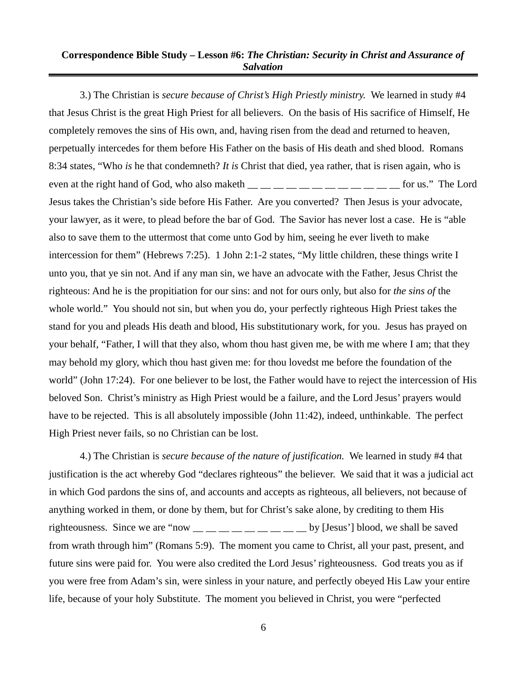3.) The Christian is *secure because of Christ's High Priestly ministry.* We learned in study #4 that Jesus Christ is the great High Priest for all believers. On the basis of His sacrifice of Himself, He completely removes the sins of His own, and, having risen from the dead and returned to heaven, perpetually intercedes for them before His Father on the basis of His death and shed blood. Romans 8:34 states, "Who *is* he that condemneth? *It is* Christ that died, yea rather, that is risen again, who is even at the right hand of God, who also maketh  $\_\_$   $\_\_$   $\_\_$   $\_\_$   $\_\_$   $\_\_$  for us." The Lord Jesus takes the Christian's side before His Father. Are you converted? Then Jesus is your advocate, your lawyer, as it were, to plead before the bar of God. The Savior has never lost a case. He is "able also to save them to the uttermost that come unto God by him, seeing he ever liveth to make intercession for them" (Hebrews 7:25). 1 John 2:1-2 states, "My little children, these things write I unto you, that ye sin not. And if any man sin, we have an advocate with the Father, Jesus Christ the righteous: And he is the propitiation for our sins: and not for ours only, but also for *the sins of* the whole world." You should not sin, but when you do, your perfectly righteous High Priest takes the stand for you and pleads His death and blood, His substitutionary work, for you. Jesus has prayed on your behalf, "Father, I will that they also, whom thou hast given me, be with me where I am; that they may behold my glory, which thou hast given me: for thou lovedst me before the foundation of the world" (John 17:24). For one believer to be lost, the Father would have to reject the intercession of His beloved Son. Christ's ministry as High Priest would be a failure, and the Lord Jesus' prayers would have to be rejected. This is all absolutely impossible (John 11:42), indeed, unthinkable. The perfect High Priest never fails, so no Christian can be lost.

4.) The Christian is *secure because of the nature of justification.* We learned in study #4 that justification is the act whereby God "declares righteous" the believer. We said that it was a judicial act in which God pardons the sins of, and accounts and accepts as righteous, all believers, not because of anything worked in them, or done by them, but for Christ's sake alone, by crediting to them His righteousness. Since we are "now  $\_\_\_\_\_\_\_\_\_\_\_\_\_\_\_$  by [Jesus'] blood, we shall be saved from wrath through him" (Romans 5:9). The moment you came to Christ, all your past, present, and future sins were paid for. You were also credited the Lord Jesus' righteousness. God treats you as if you were free from Adam's sin, were sinless in your nature, and perfectly obeyed His Law your entire life, because of your holy Substitute. The moment you believed in Christ, you were "perfected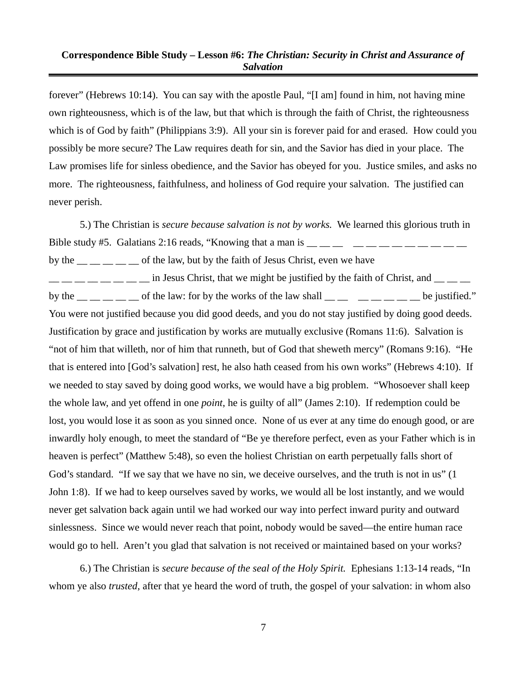forever" (Hebrews 10:14). You can say with the apostle Paul, "[I am] found in him, not having mine own righteousness, which is of the law, but that which is through the faith of Christ, the righteousness which is of God by faith" (Philippians 3:9). All your sin is forever paid for and erased. How could you possibly be more secure? The Law requires death for sin, and the Savior has died in your place. The Law promises life for sinless obedience, and the Savior has obeyed for you. Justice smiles, and asks no more. The righteousness, faithfulness, and holiness of God require your salvation. The justified can never perish.

5.) The Christian is *secure because salvation is not by works.* We learned this glorious truth in Bible study #5. Galatians 2:16 reads, "Knowing that a man is  $\frac{1}{1}$   $\frac{1}{1}$   $\frac{1}{1}$   $\frac{1}{1}$   $\frac{1}{1}$   $\frac{1}{1}$   $\frac{1}{1}$   $\frac{1}{1}$   $\frac{1}{1}$   $\frac{1}{1}$   $\frac{1}{1}$   $\frac{1}{1}$   $\frac{1}{1}$   $\frac{1}{1}$   $\frac{1}{1}$   $\frac{1}{1}$  by the  $\frac{1}{1}$   $\frac{1}{1}$   $\frac{1}{1}$   $\frac{1}{1}$  of the law, but by the faith of Jesus Christ, even we have  $\frac{1}{1}$   $\frac{1}{1}$   $\frac{1}{1}$   $\frac{1}{1}$   $\frac{1}{1}$   $\frac{1}{1}$   $\frac{1}{1}$   $\frac{1}{1}$   $\frac{1}{1}$   $\frac{1}{1}$   $\frac{1}{1}$   $\frac{1}{1}$   $\frac{1}{1}$   $\frac{1}{1}$   $\frac{1}{1}$   $\frac{1}{1}$   $\frac{1}{1}$   $\frac{1}{1}$   $\frac{1}{1}$   $\frac{1}{1}$   $\frac{1}{1}$   $\frac{1}{1}$  by the  $\frac{1}{\sqrt{2}}$  of the law: for by the works of the law shall  $\frac{1}{\sqrt{2}}$   $\frac{1}{\sqrt{2}}$  be justified." You were not justified because you did good deeds, and you do not stay justified by doing good deeds. Justification by grace and justification by works are mutually exclusive (Romans 11:6). Salvation is "not of him that willeth, nor of him that runneth, but of God that sheweth mercy" (Romans 9:16). "He that is entered into [God's salvation] rest, he also hath ceased from his own works" (Hebrews 4:10). If we needed to stay saved by doing good works, we would have a big problem. "Whosoever shall keep the whole law, and yet offend in one *point*, he is guilty of all" (James 2:10). If redemption could be lost, you would lose it as soon as you sinned once. None of us ever at any time do enough good, or are inwardly holy enough, to meet the standard of "Be ye therefore perfect, even as your Father which is in heaven is perfect" (Matthew 5:48), so even the holiest Christian on earth perpetually falls short of God's standard. "If we say that we have no sin, we deceive ourselves, and the truth is not in us" (1 John 1:8). If we had to keep ourselves saved by works, we would all be lost instantly, and we would never get salvation back again until we had worked our way into perfect inward purity and outward sinlessness. Since we would never reach that point, nobody would be saved—the entire human race would go to hell. Aren't you glad that salvation is not received or maintained based on your works?

6.) The Christian is *secure because of the seal of the Holy Spirit.* Ephesians 1:13-14 reads, "In whom ye also *trusted*, after that ye heard the word of truth, the gospel of your salvation: in whom also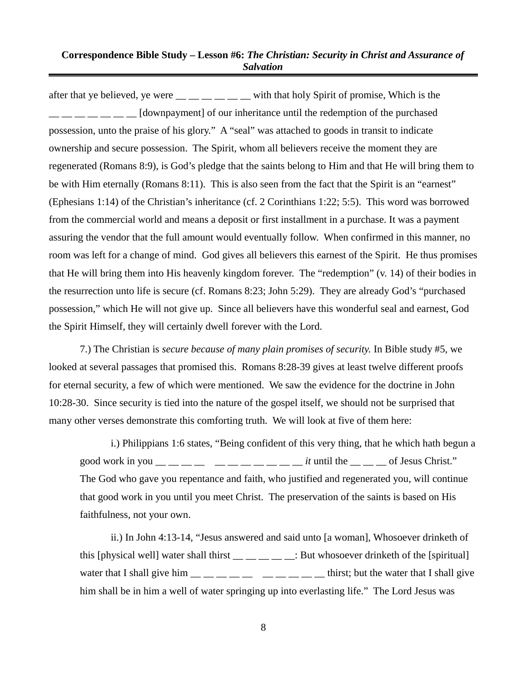after that ye believed, ye were  $\frac{1}{\sqrt{2}}$  \_\_ \_ \_ \_ with that holy Spirit of promise, Which is the  $\Box$  \_\_ \_\_ \_\_ [downpayment] of our inheritance until the redemption of the purchased possession, unto the praise of his glory." A "seal" was attached to goods in transit to indicate ownership and secure possession. The Spirit, whom all believers receive the moment they are regenerated (Romans 8:9), is God's pledge that the saints belong to Him and that He will bring them to be with Him eternally (Romans 8:11). This is also seen from the fact that the Spirit is an "earnest" (Ephesians 1:14) of the Christian's inheritance (cf. 2 Corinthians 1:22; 5:5). This word was borrowed from the commercial world and means a deposit or first installment in a purchase. It was a payment assuring the vendor that the full amount would eventually follow. When confirmed in this manner, no room was left for a change of mind. God gives all believers this earnest of the Spirit. He thus promises that He will bring them into His heavenly kingdom forever. The "redemption" (v. 14) of their bodies in the resurrection unto life is secure (cf. Romans 8:23; John 5:29). They are already God's "purchased possession," which He will not give up. Since all believers have this wonderful seal and earnest, God the Spirit Himself, they will certainly dwell forever with the Lord.

7.) The Christian is *secure because of many plain promises of security.* In Bible study #5, we looked at several passages that promised this. Romans 8:28-39 gives at least twelve different proofs for eternal security, a few of which were mentioned. We saw the evidence for the doctrine in John 10:28-30. Since security is tied into the nature of the gospel itself, we should not be surprised that many other verses demonstrate this comforting truth. We will look at five of them here:

i.) Philippians 1:6 states, "Being confident of this very thing, that he which hath begun a good work in you  $\frac{1}{1}$   $\frac{1}{1}$   $\frac{1}{1}$   $\frac{1}{1}$   $\frac{1}{1}$   $\frac{1}{1}$   $\frac{1}{1}$   $\frac{1}{1}$   $\frac{1}{1}$   $\frac{1}{1}$   $\frac{1}{1}$   $\frac{1}{1}$   $\frac{1}{1}$   $\frac{1}{1}$   $\frac{1}{1}$   $\frac{1}{1}$   $\frac{1}{1}$   $\frac{1}{1}$   $\frac{1}{1}$   $\frac{1}{1}$   $\frac{$ The God who gave you repentance and faith, who justified and regenerated you, will continue that good work in you until you meet Christ. The preservation of the saints is based on His faithfulness, not your own.

ii.) In John 4:13-14, "Jesus answered and said unto [a woman], Whosoever drinketh of this [physical well] water shall thirst  $\frac{1}{\frac{1}{\sqrt{1-\frac{1}{n}}}$  But whosoever drinketh of the [spiritual] water that I shall give him  $\frac{m}{m}$   $\frac{m}{m}$   $\frac{m}{m}$   $\frac{m}{m}$   $\frac{m}{m}$   $\frac{m}{m}$  thirst; but the water that I shall give him shall be in him a well of water springing up into everlasting life." The Lord Jesus was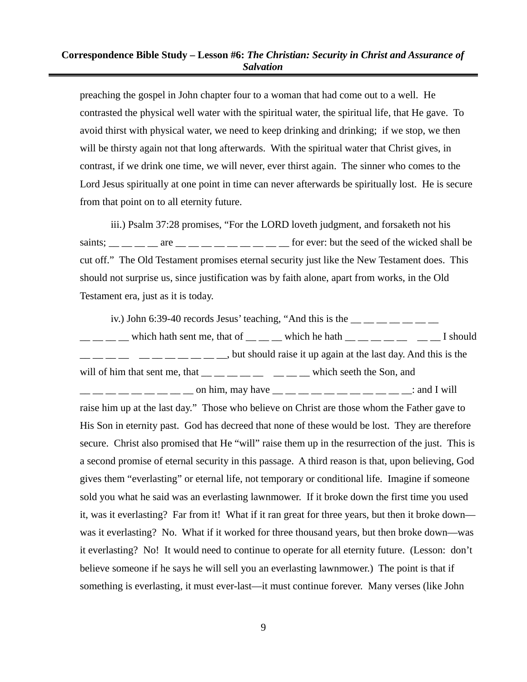preaching the gospel in John chapter four to a woman that had come out to a well. He contrasted the physical well water with the spiritual water, the spiritual life, that He gave. To avoid thirst with physical water, we need to keep drinking and drinking; if we stop, we then will be thirsty again not that long afterwards. With the spiritual water that Christ gives, in contrast, if we drink one time, we will never, ever thirst again. The sinner who comes to the Lord Jesus spiritually at one point in time can never afterwards be spiritually lost. He is secure from that point on to all eternity future.

iii.) Psalm 37:28 promises, "For the LORD loveth judgment, and forsaketh not his saints;  $\frac{1}{1}$  are  $\frac{1}{1}$  are  $\frac{1}{1}$  are  $\frac{1}{1}$   $\frac{1}{1}$   $\frac{1}{1}$   $\frac{1}{1}$   $\frac{1}{1}$   $\frac{1}{1}$   $\frac{1}{1}$   $\frac{1}{1}$   $\frac{1}{1}$   $\frac{1}{1}$   $\frac{1}{1}$   $\frac{1}{1}$   $\frac{1}{1}$   $\frac{1}{1}$   $\frac{1}{1}$   $\frac{1}{1}$   $\frac{1}{1}$  cut off." The Old Testament promises eternal security just like the New Testament does. This should not surprise us, since justification was by faith alone, apart from works, in the Old Testament era, just as it is today.

iv.) John 6:39-40 records Jesus' teaching, "And this is the  $\frac{1}{1}$   $\frac{1}{1}$   $\frac{1}{1}$   $\frac{1}{1}$   $\frac{1}{1}$   $\frac{1}{1}$  $\frac{1}{1-\frac{1}{1-\frac{1}{1-\frac{1}{1-\frac{1}{1-\frac{1}{1-\frac{1}{1-\frac{1}{1-\frac{1}{1-\frac{1}{1-\frac{1}{1-\frac{1}{1-\frac{1}{1-\frac{1}{1-\frac{1}{1-\frac{1}{1-\frac{1}{1-\frac{1}{1-\frac{1}{1-\frac{1}{1-\frac{1}{1-\frac{1}{1-\frac{1}{1-\frac{1}{1-\frac{1}{1-\frac{1}{1-\frac{1}{1-\frac{1}{1-\frac{1}{1-\frac{1}{1-\frac{1}{1-\frac{1}{1-\frac{1}{1-\frac{1}{1-\frac{1}{1-\frac{1}{1-\frac{1$  $\frac{1}{1}$   $\frac{1}{1}$   $\frac{1}{1}$   $\frac{1}{1}$   $\frac{1}{1}$   $\frac{1}{1}$   $\frac{1}{1}$   $\frac{1}{1}$   $\frac{1}{1}$   $\frac{1}{1}$   $\frac{1}{1}$   $\frac{1}{1}$   $\frac{1}{1}$   $\frac{1}{1}$   $\frac{1}{1}$   $\frac{1}{1}$   $\frac{1}{1}$   $\frac{1}{1}$   $\frac{1}{1}$   $\frac{1}{1}$   $\frac{1}{1}$   $\frac{1}{1}$  will of him that sent me, that  $\frac{m}{m}$   $\frac{m}{m}$   $\frac{m}{m}$   $\frac{m}{m}$  which seeth the Son, and  $\frac{1}{2}$   $\frac{1}{2}$   $\frac{1}{2}$   $\frac{1}{2}$   $\frac{1}{2}$  on him, may have  $\frac{1}{2}$   $\frac{1}{2}$   $\frac{1}{2}$   $\frac{1}{2}$   $\frac{1}{2}$   $\frac{1}{2}$   $\frac{1}{2}$   $\frac{1}{2}$   $\frac{1}{2}$   $\frac{1}{2}$   $\frac{1}{2}$   $\frac{1}{2}$   $\frac{1}{2}$   $\frac{1}{2}$   $\frac{1}{2}$   $\frac{$ raise him up at the last day." Those who believe on Christ are those whom the Father gave to His Son in eternity past. God has decreed that none of these would be lost. They are therefore secure. Christ also promised that He "will" raise them up in the resurrection of the just. This is a second promise of eternal security in this passage. A third reason is that, upon believing, God gives them "everlasting" or eternal life, not temporary or conditional life. Imagine if someone sold you what he said was an everlasting lawnmower. If it broke down the first time you used it, was it everlasting? Far from it! What if it ran great for three years, but then it broke down was it everlasting? No. What if it worked for three thousand years, but then broke down—was it everlasting? No! It would need to continue to operate for all eternity future. (Lesson: don't believe someone if he says he will sell you an everlasting lawnmower.) The point is that if something is everlasting, it must ever-last—it must continue forever. Many verses (like John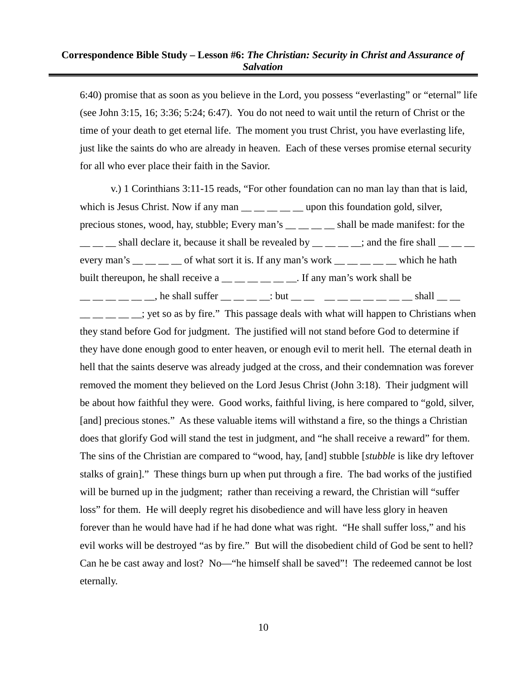6:40) promise that as soon as you believe in the Lord, you possess "everlasting" or "eternal" life (see John 3:15, 16; 3:36; 5:24; 6:47). You do not need to wait until the return of Christ or the time of your death to get eternal life. The moment you trust Christ, you have everlasting life, just like the saints do who are already in heaven. Each of these verses promise eternal security for all who ever place their faith in the Savior.

v.) 1 Corinthians 3:11-15 reads, "For other foundation can no man lay than that is laid, which is Jesus Christ. Now if any man  $\frac{m}{m}$   $\frac{m}{m}$   $\frac{m}{m}$  upon this foundation gold, silver, precious stones, wood, hay, stubble; Every man's \_\_ \_ \_ \_ \_ shall be made manifest: for the  $\frac{1}{1}$   $\frac{1}{1}$  shall declare it, because it shall be revealed by  $\frac{1}{1}$   $\frac{1}{1}$   $\frac{1}{1}$   $\frac{1}{1}$   $\frac{1}{1}$   $\frac{1}{1}$   $\frac{1}{1}$   $\frac{1}{1}$   $\frac{1}{1}$   $\frac{1}{1}$   $\frac{1}{1}$   $\frac{1}{1}$   $\frac{1}{1}$   $\frac{1}{1}$   $\frac{1}{1}$  every man's  $\_\_$   $\_\_$  of what sort it is. If any man's work  $\_\_$   $\_\_$   $\_\_$  which he hath built thereupon, he shall receive a  $\_\_\_\_\_\_\_\_\_\_\_$ . If any man's work shall be  $\frac{1}{2}$   $\frac{1}{2}$   $\frac{1}{2}$   $\frac{1}{2}$   $\frac{1}{2}$   $\frac{1}{2}$   $\frac{1}{2}$   $\frac{1}{2}$   $\frac{1}{2}$   $\frac{1}{2}$   $\frac{1}{2}$   $\frac{1}{2}$   $\frac{1}{2}$   $\frac{1}{2}$   $\frac{1}{2}$   $\frac{1}{2}$   $\frac{1}{2}$   $\frac{1}{2}$   $\frac{1}{2}$   $\frac{1}{2}$   $\frac{1}{2}$   $\frac{1}{2}$   $\frac{1}{1}$   $\frac{1}{1}$   $\frac{1}{1}$   $\frac{1}{1}$   $\frac{1}{1}$   $\frac{1}{1}$   $\frac{1}{1}$   $\frac{1}{1}$   $\frac{1}{1}$   $\frac{1}{1}$   $\frac{1}{1}$   $\frac{1}{1}$   $\frac{1}{1}$   $\frac{1}{1}$   $\frac{1}{1}$   $\frac{1}{1}$   $\frac{1}{1}$   $\frac{1}{1}$   $\frac{1}{1}$   $\frac{1}{1}$   $\frac{1}{1}$   $\frac{1}{1}$  they stand before God for judgment. The justified will not stand before God to determine if they have done enough good to enter heaven, or enough evil to merit hell. The eternal death in hell that the saints deserve was already judged at the cross, and their condemnation was forever removed the moment they believed on the Lord Jesus Christ (John 3:18). Their judgment will be about how faithful they were. Good works, faithful living, is here compared to "gold, silver, [and] precious stones." As these valuable items will withstand a fire, so the things a Christian does that glorify God will stand the test in judgment, and "he shall receive a reward" for them. The sins of the Christian are compared to "wood, hay, [and] stubble [*stubble* is like dry leftover stalks of grain]." These things burn up when put through a fire. The bad works of the justified will be burned up in the judgment; rather than receiving a reward, the Christian will "suffer loss" for them. He will deeply regret his disobedience and will have less glory in heaven forever than he would have had if he had done what was right. "He shall suffer loss," and his evil works will be destroyed "as by fire." But will the disobedient child of God be sent to hell? Can he be cast away and lost? No—"he himself shall be saved"! The redeemed cannot be lost eternally.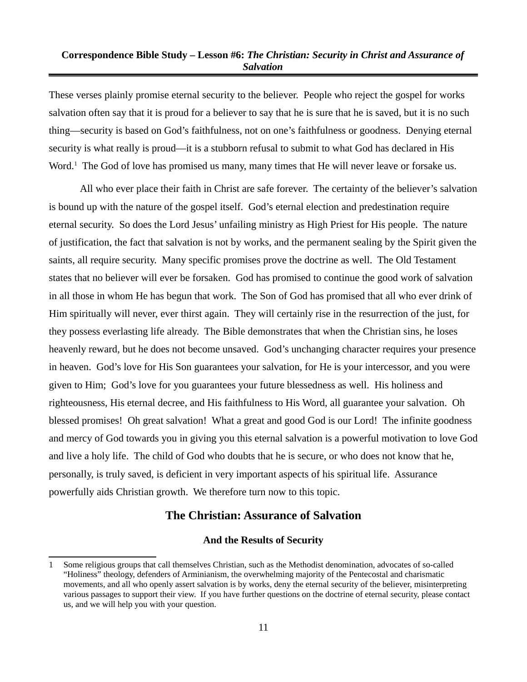These verses plainly promise eternal security to the believer. People who reject the gospel for works salvation often say that it is proud for a believer to say that he is sure that he is saved, but it is no such thing—security is based on God's faithfulness, not on one's faithfulness or goodness. Denying eternal security is what really is proud—it is a stubborn refusal to submit to what God has declared in His Word.<sup>[1](#page-10-0)</sup> The God of love has promised us many, many times that He will never leave or forsake us.

All who ever place their faith in Christ are safe forever. The certainty of the believer's salvation is bound up with the nature of the gospel itself. God's eternal election and predestination require eternal security. So does the Lord Jesus' unfailing ministry as High Priest for His people. The nature of justification, the fact that salvation is not by works, and the permanent sealing by the Spirit given the saints, all require security. Many specific promises prove the doctrine as well. The Old Testament states that no believer will ever be forsaken. God has promised to continue the good work of salvation in all those in whom He has begun that work. The Son of God has promised that all who ever drink of Him spiritually will never, ever thirst again. They will certainly rise in the resurrection of the just, for they possess everlasting life already. The Bible demonstrates that when the Christian sins, he loses heavenly reward, but he does not become unsaved. God's unchanging character requires your presence in heaven. God's love for His Son guarantees your salvation, for He is your intercessor, and you were given to Him; God's love for you guarantees your future blessedness as well. His holiness and righteousness, His eternal decree, and His faithfulness to His Word, all guarantee your salvation. Oh blessed promises! Oh great salvation! What a great and good God is our Lord! The infinite goodness and mercy of God towards you in giving you this eternal salvation is a powerful motivation to love God and live a holy life. The child of God who doubts that he is secure, or who does not know that he, personally, is truly saved, is deficient in very important aspects of his spiritual life. Assurance powerfully aids Christian growth. We therefore turn now to this topic.

# **The Christian: Assurance of Salvation**

#### **And the Results of Security**

<span id="page-10-0"></span><sup>1</sup> Some religious groups that call themselves Christian, such as the Methodist denomination, advocates of so-called "Holiness" theology, defenders of Arminianism, the overwhelming majority of the Pentecostal and charismatic movements, and all who openly assert salvation is by works, deny the eternal security of the believer, misinterpreting various passages to support their view. If you have further questions on the doctrine of eternal security, please contact us, and we will help you with your question.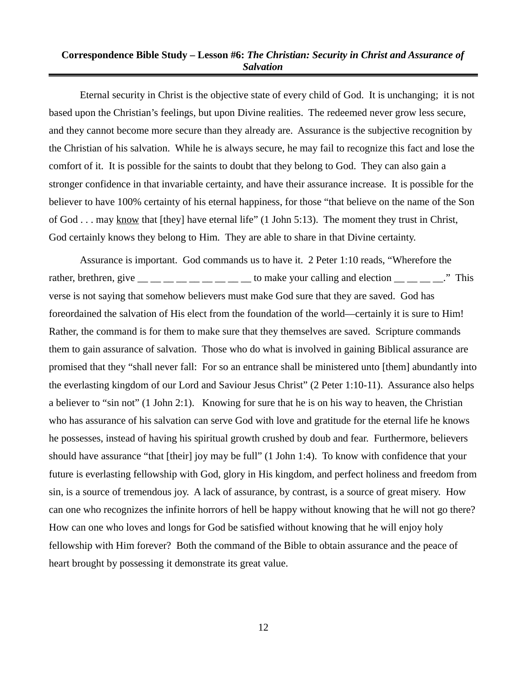Eternal security in Christ is the objective state of every child of God. It is unchanging; it is not based upon the Christian's feelings, but upon Divine realities. The redeemed never grow less secure, and they cannot become more secure than they already are. Assurance is the subjective recognition by the Christian of his salvation. While he is always secure, he may fail to recognize this fact and lose the comfort of it. It is possible for the saints to doubt that they belong to God. They can also gain a stronger confidence in that invariable certainty, and have their assurance increase. It is possible for the believer to have 100% certainty of his eternal happiness, for those "that believe on the name of the Son of God . . . may know that [they] have eternal life" (1 John 5:13). The moment they trust in Christ, God certainly knows they belong to Him. They are able to share in that Divine certainty.

Assurance is important. God commands us to have it. 2 Peter 1:10 reads, "Wherefore the rather, brethren, give  $\frac{m}{m}$   $\frac{m}{m}$   $\frac{m}{m}$   $\frac{m}{m}$   $\frac{m}{m}$  to make your calling and election  $\frac{m}{m}$   $\frac{m}{m}$   $\frac{m}{m}$ . This verse is not saying that somehow believers must make God sure that they are saved. God has foreordained the salvation of His elect from the foundation of the world—certainly it is sure to Him! Rather, the command is for them to make sure that they themselves are saved. Scripture commands them to gain assurance of salvation. Those who do what is involved in gaining Biblical assurance are promised that they "shall never fall: For so an entrance shall be ministered unto [them] abundantly into the everlasting kingdom of our Lord and Saviour Jesus Christ" (2 Peter 1:10-11). Assurance also helps a believer to "sin not" (1 John 2:1). Knowing for sure that he is on his way to heaven, the Christian who has assurance of his salvation can serve God with love and gratitude for the eternal life he knows he possesses, instead of having his spiritual growth crushed by doub and fear. Furthermore, believers should have assurance "that [their] joy may be full" (1 John 1:4). To know with confidence that your future is everlasting fellowship with God, glory in His kingdom, and perfect holiness and freedom from sin, is a source of tremendous joy. A lack of assurance, by contrast, is a source of great misery. How can one who recognizes the infinite horrors of hell be happy without knowing that he will not go there? How can one who loves and longs for God be satisfied without knowing that he will enjoy holy fellowship with Him forever? Both the command of the Bible to obtain assurance and the peace of heart brought by possessing it demonstrate its great value.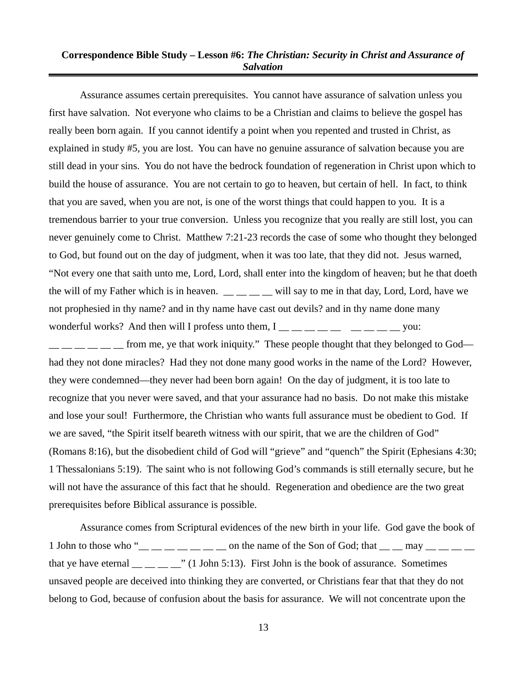Assurance assumes certain prerequisites. You cannot have assurance of salvation unless you first have salvation. Not everyone who claims to be a Christian and claims to believe the gospel has really been born again. If you cannot identify a point when you repented and trusted in Christ, as explained in study #5, you are lost. You can have no genuine assurance of salvation because you are still dead in your sins. You do not have the bedrock foundation of regeneration in Christ upon which to build the house of assurance. You are not certain to go to heaven, but certain of hell. In fact, to think that you are saved, when you are not, is one of the worst things that could happen to you. It is a tremendous barrier to your true conversion. Unless you recognize that you really are still lost, you can never genuinely come to Christ. Matthew 7:21-23 records the case of some who thought they belonged to God, but found out on the day of judgment, when it was too late, that they did not. Jesus warned, "Not every one that saith unto me, Lord, Lord, shall enter into the kingdom of heaven; but he that doeth the will of my Father which is in heaven.  $\_\_\_\_\_\_$  will say to me in that day, Lord, Lord, have we not prophesied in thy name? and in thy name have cast out devils? and in thy name done many wonderful works? And then will I profess unto them,  $I_{\text{max}} = 1$  and  $I_{\text{max}} = 1$  and  $I_{\text{max}}$  wou:

 $\frac{1}{1}$   $\frac{1}{1}$   $\frac{1}{1}$   $\frac{1}{1}$  from me, ye that work iniquity." These people thought that they belonged to God had they not done miracles? Had they not done many good works in the name of the Lord? However, they were condemned—they never had been born again! On the day of judgment, it is too late to recognize that you never were saved, and that your assurance had no basis. Do not make this mistake and lose your soul! Furthermore, the Christian who wants full assurance must be obedient to God. If we are saved, "the Spirit itself beareth witness with our spirit, that we are the children of God" (Romans 8:16), but the disobedient child of God will "grieve" and "quench" the Spirit (Ephesians 4:30; 1 Thessalonians 5:19). The saint who is not following God's commands is still eternally secure, but he will not have the assurance of this fact that he should. Regeneration and obedience are the two great prerequisites before Biblical assurance is possible.

Assurance comes from Scriptural evidences of the new birth in your life. God gave the book of 1 John to those who " $\frac{1}{2}$   $\frac{1}{2}$   $\frac{1}{2}$   $\frac{1}{2}$   $\frac{1}{2}$   $\frac{1}{2}$  on the name of the Son of God; that  $\frac{1}{2}$   $\frac{1}{2}$   $\frac{1}{2}$   $\frac{1}{2}$   $\frac{1}{2}$   $\frac{1}{2}$   $\frac{1}{2}$   $\frac{1}{2}$   $\frac{1}{2}$   $\frac{1}{2}$   $\frac{$ that ye have eternal  $\frac{1}{\sqrt{1}}$   $\frac{1}{\sqrt{1}}$  John 5:13). First John is the book of assurance. Sometimes unsaved people are deceived into thinking they are converted, or Christians fear that that they do not belong to God, because of confusion about the basis for assurance. We will not concentrate upon the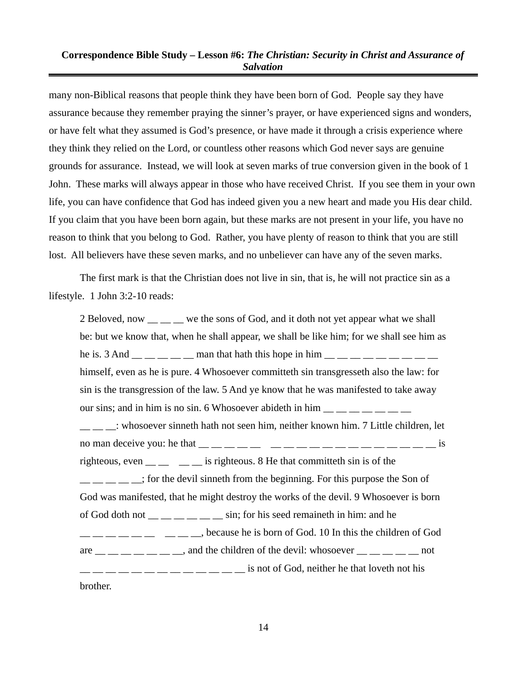many non-Biblical reasons that people think they have been born of God. People say they have assurance because they remember praying the sinner's prayer, or have experienced signs and wonders, or have felt what they assumed is God's presence, or have made it through a crisis experience where they think they relied on the Lord, or countless other reasons which God never says are genuine grounds for assurance. Instead, we will look at seven marks of true conversion given in the book of 1 John. These marks will always appear in those who have received Christ. If you see them in your own life, you can have confidence that God has indeed given you a new heart and made you His dear child. If you claim that you have been born again, but these marks are not present in your life, you have no reason to think that you belong to God. Rather, you have plenty of reason to think that you are still lost. All believers have these seven marks, and no unbeliever can have any of the seven marks.

The first mark is that the Christian does not live in sin, that is, he will not practice sin as a lifestyle. 1 John 3:2-10 reads:

2 Beloved, now  $\frac{1}{2}$  we the sons of God, and it doth not yet appear what we shall be: but we know that, when he shall appear, we shall be like him; for we shall see him as he is. 3 And  $\frac{1}{1}$   $\frac{1}{1}$   $\frac{1}{1}$   $\frac{1}{1}$  man that hath this hope in him  $\frac{1}{1}$   $\frac{1}{1}$   $\frac{1}{1}$   $\frac{1}{1}$   $\frac{1}{1}$   $\frac{1}{1}$ himself, even as he is pure. 4 Whosoever committeth sin transgresseth also the law: for sin is the transgression of the law. 5 And ye know that he was manifested to take away our sins; and in him is no sin. 6 Whosoever abideth in him  $\frac{1}{\sqrt{2}}$   $\frac{1}{\sqrt{2}}$ \_\_ \_\_ \_\_: whosoever sinneth hath not seen him, neither known him. 7 Little children, let no man deceive you: he that  $\frac{1}{2}$   $\frac{1}{2}$   $\frac{1}{2}$   $\frac{1}{2}$   $\frac{1}{2}$   $\frac{1}{2}$   $\frac{1}{2}$   $\frac{1}{2}$   $\frac{1}{2}$   $\frac{1}{2}$   $\frac{1}{2}$   $\frac{1}{2}$   $\frac{1}{2}$   $\frac{1}{2}$   $\frac{1}{2}$   $\frac{1}{2}$   $\frac{1}{2}$   $\frac{1}{2}$   $\frac{1}{2}$   $\frac$ righteous, even \_\_ \_ \_ \_ \_ is righteous. 8 He that committeth sin is of the \_\_ \_\_ \_\_ \_\_ \_\_; for the devil sinneth from the beginning. For this purpose the Son of God was manifested, that he might destroy the works of the devil. 9 Whosoever is born of God doth not  $\frac{1}{1-\frac{1}{1-\frac{1}{1-\frac{1}{1-\frac{1}{1-\frac{1}{1-\frac{1}{1-\frac{1}{1-\frac{1}{1-\frac{1}{1-\frac{1}{1-\frac{1}{1-\frac{1}{1-\frac{1}{1-\frac{1}{1-\frac{1}{1-\frac{1}{1-\frac{1}{1-\frac{1}{1-\frac{1}{1-\frac{1}{1-\frac{1}{1-\frac{1}{1-\frac{1}{1-\frac{1}{1-\frac{1}{1-\frac{1}{1-\frac{1}{1-\frac{1}{1-\frac{1}{1-\frac{1}{1-\frac{1}{1-\frac{1}{1-\frac{1}{1$  $\frac{1}{1}$   $\frac{1}{1}$   $\frac{1}{1}$   $\frac{1}{1}$   $\frac{1}{1}$   $\frac{1}{1}$   $\frac{1}{1}$   $\frac{1}{1}$   $\frac{1}{1}$   $\frac{1}{1}$   $\frac{1}{1}$   $\frac{1}{1}$   $\frac{1}{1}$   $\frac{1}{1}$   $\frac{1}{1}$   $\frac{1}{1}$   $\frac{1}{1}$   $\frac{1}{1}$   $\frac{1}{1}$   $\frac{1}{1}$   $\frac{1}{1}$   $\frac{1}{1}$  are  $\frac{1}{\sqrt{2}}$  and the children of the devil: whosoever  $\frac{1}{\sqrt{2}}$  and the children of the devil: whosoever  $\frac{1}{\sqrt{2}}$  and the children of the devil:  $\frac{1}{2}$   $\frac{1}{2}$   $\frac{1}{2}$   $\frac{1}{2}$   $\frac{1}{2}$   $\frac{1}{2}$   $\frac{1}{2}$   $\frac{1}{2}$   $\frac{1}{2}$  is not of God, neither he that loveth not his brother.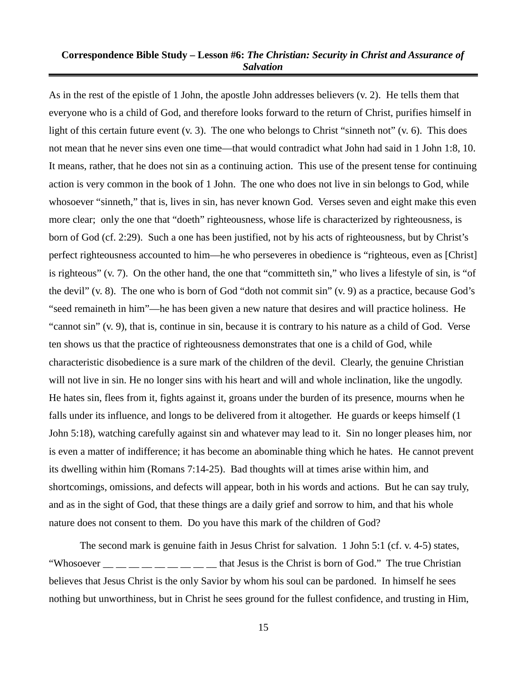As in the rest of the epistle of 1 John, the apostle John addresses believers (v. 2). He tells them that everyone who is a child of God, and therefore looks forward to the return of Christ, purifies himself in light of this certain future event (v. 3). The one who belongs to Christ "sinneth not" (v. 6). This does not mean that he never sins even one time—that would contradict what John had said in 1 John 1:8, 10. It means, rather, that he does not sin as a continuing action. This use of the present tense for continuing action is very common in the book of 1 John. The one who does not live in sin belongs to God, while whosoever "sinneth," that is, lives in sin, has never known God. Verses seven and eight make this even more clear; only the one that "doeth" righteousness, whose life is characterized by righteousness, is born of God (cf. 2:29). Such a one has been justified, not by his acts of righteousness, but by Christ's perfect righteousness accounted to him—he who perseveres in obedience is "righteous, even as [Christ] is righteous" (v. 7). On the other hand, the one that "committeth sin," who lives a lifestyle of sin, is "of the devil" (v. 8). The one who is born of God "doth not commit sin" (v. 9) as a practice, because God's "seed remaineth in him"—he has been given a new nature that desires and will practice holiness. He "cannot sin" (v. 9), that is, continue in sin, because it is contrary to his nature as a child of God. Verse ten shows us that the practice of righteousness demonstrates that one is a child of God, while characteristic disobedience is a sure mark of the children of the devil. Clearly, the genuine Christian will not live in sin. He no longer sins with his heart and will and whole inclination, like the ungodly. He hates sin, flees from it, fights against it, groans under the burden of its presence, mourns when he falls under its influence, and longs to be delivered from it altogether. He guards or keeps himself (1 John 5:18), watching carefully against sin and whatever may lead to it. Sin no longer pleases him, nor is even a matter of indifference; it has become an abominable thing which he hates. He cannot prevent its dwelling within him (Romans 7:14-25). Bad thoughts will at times arise within him, and shortcomings, omissions, and defects will appear, both in his words and actions. But he can say truly, and as in the sight of God, that these things are a daily grief and sorrow to him, and that his whole nature does not consent to them. Do you have this mark of the children of God?

The second mark is genuine faith in Jesus Christ for salvation. 1 John 5:1 (cf. v. 4-5) states, "Whosoever \_\_ \_ \_ \_ \_ \_ \_ \_ \_ that Jesus is the Christ is born of God." The true Christian believes that Jesus Christ is the only Savior by whom his soul can be pardoned. In himself he sees nothing but unworthiness, but in Christ he sees ground for the fullest confidence, and trusting in Him,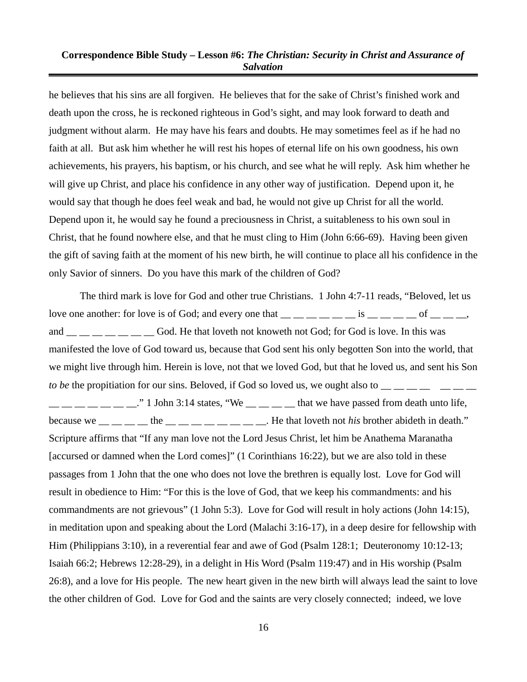he believes that his sins are all forgiven. He believes that for the sake of Christ's finished work and death upon the cross, he is reckoned righteous in God's sight, and may look forward to death and judgment without alarm. He may have his fears and doubts. He may sometimes feel as if he had no faith at all. But ask him whether he will rest his hopes of eternal life on his own goodness, his own achievements, his prayers, his baptism, or his church, and see what he will reply. Ask him whether he will give up Christ, and place his confidence in any other way of justification. Depend upon it, he would say that though he does feel weak and bad, he would not give up Christ for all the world. Depend upon it, he would say he found a preciousness in Christ, a suitableness to his own soul in Christ, that he found nowhere else, and that he must cling to Him (John 6:66-69). Having been given the gift of saving faith at the moment of his new birth, he will continue to place all his confidence in the only Savior of sinners. Do you have this mark of the children of God?

The third mark is love for God and other true Christians. 1 John 4:7-11 reads, "Beloved, let us love one another: for love is of God; and every one that  $\underline{\hspace{1cm}}$   $\underline{\hspace{1cm}}$   $\underline{\hspace{1cm}}$   $\underline{\hspace{1cm}}$   $\underline{\hspace{1cm}}$   $\underline{\hspace{1cm}}$   $\underline{\hspace{1cm}}$   $\underline{\hspace{1cm}}$   $\underline{\hspace{1cm}}$   $\underline{\hspace{1cm}}$   $\underline{\hspace{1cm}}$   $\underline{\hspace{1cm}}$   $\underline{\hspace{$ and \_\_ \_\_ \_\_ \_\_ God. He that loveth not knoweth not God; for God is love. In this was manifested the love of God toward us, because that God sent his only begotten Son into the world, that we might live through him. Herein is love, not that we loved God, but that he loved us, and sent his Son *to be* the propitiation for our sins. Beloved, if God so loved us, we ought also to  $\frac{1}{1}$ 

 $\frac{1}{1}$  \_\_ \_ \_ \_ \_ \_ \_  $\frac{1}{1}$  John 3:14 states, "We \_ \_ \_ \_ \_ that we have passed from death unto life, because we  $\frac{1}{1}$   $\frac{1}{1}$   $\frac{1}{1}$  the  $\frac{1}{1}$   $\frac{1}{1}$   $\frac{1}{1}$   $\frac{1}{1}$   $\frac{1}{1}$   $\frac{1}{1}$   $\frac{1}{1}$   $\frac{1}{1}$   $\frac{1}{1}$   $\frac{1}{1}$   $\frac{1}{1}$   $\frac{1}{1}$   $\frac{1}{1}$   $\frac{1}{1}$   $\frac{1}{1}$   $\frac{1}{1}$   $\frac{1}{1}$   $\frac{1}{$ Scripture affirms that "If any man love not the Lord Jesus Christ, let him be Anathema Maranatha [accursed or damned when the Lord comes]" (1 Corinthians 16:22), but we are also told in these passages from 1 John that the one who does not love the brethren is equally lost. Love for God will result in obedience to Him: "For this is the love of God, that we keep his commandments: and his commandments are not grievous" (1 John 5:3). Love for God will result in holy actions (John 14:15), in meditation upon and speaking about the Lord (Malachi 3:16-17), in a deep desire for fellowship with Him (Philippians 3:10), in a reverential fear and awe of God (Psalm 128:1; Deuteronomy 10:12-13; Isaiah 66:2; Hebrews 12:28-29), in a delight in His Word (Psalm 119:47) and in His worship (Psalm 26:8), and a love for His people. The new heart given in the new birth will always lead the saint to love the other children of God. Love for God and the saints are very closely connected; indeed, we love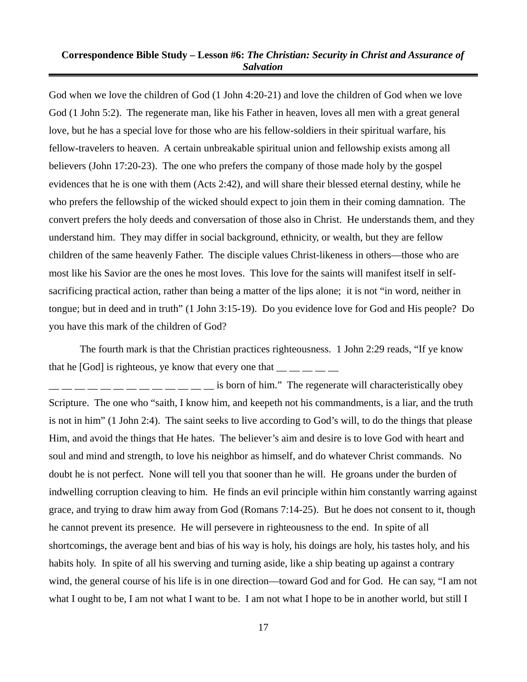God when we love the children of God (1 John 4:20-21) and love the children of God when we love God (1 John 5:2). The regenerate man, like his Father in heaven, loves all men with a great general love, but he has a special love for those who are his fellow-soldiers in their spiritual warfare, his fellow-travelers to heaven. A certain unbreakable spiritual union and fellowship exists among all believers (John 17:20-23). The one who prefers the company of those made holy by the gospel evidences that he is one with them (Acts 2:42), and will share their blessed eternal destiny, while he who prefers the fellowship of the wicked should expect to join them in their coming damnation. The convert prefers the holy deeds and conversation of those also in Christ. He understands them, and they understand him. They may differ in social background, ethnicity, or wealth, but they are fellow children of the same heavenly Father. The disciple values Christ-likeness in others—those who are most like his Savior are the ones he most loves. This love for the saints will manifest itself in selfsacrificing practical action, rather than being a matter of the lips alone; it is not "in word, neither in tongue; but in deed and in truth" (1 John 3:15-19). Do you evidence love for God and His people? Do you have this mark of the children of God?

The fourth mark is that the Christian practices righteousness. 1 John 2:29 reads, "If ye know that he [God] is righteous, ye know that every one that  $\frac{1}{1}$   $\frac{1}{1}$   $\frac{1}{1}$   $\frac{1}{1}$ 

is born of him." The regenerate will characteristically obey Scripture. The one who "saith, I know him, and keepeth not his commandments, is a liar, and the truth is not in him" (1 John 2:4). The saint seeks to live according to God's will, to do the things that please Him, and avoid the things that He hates. The believer's aim and desire is to love God with heart and soul and mind and strength, to love his neighbor as himself, and do whatever Christ commands. No doubt he is not perfect. None will tell you that sooner than he will. He groans under the burden of indwelling corruption cleaving to him. He finds an evil principle within him constantly warring against grace, and trying to draw him away from God (Romans 7:14-25). But he does not consent to it, though he cannot prevent its presence. He will persevere in righteousness to the end. In spite of all shortcomings, the average bent and bias of his way is holy, his doings are holy, his tastes holy, and his habits holy. In spite of all his swerving and turning aside, like a ship beating up against a contrary wind, the general course of his life is in one direction—toward God and for God. He can say, "I am not what I ought to be, I am not what I want to be. I am not what I hope to be in another world, but still I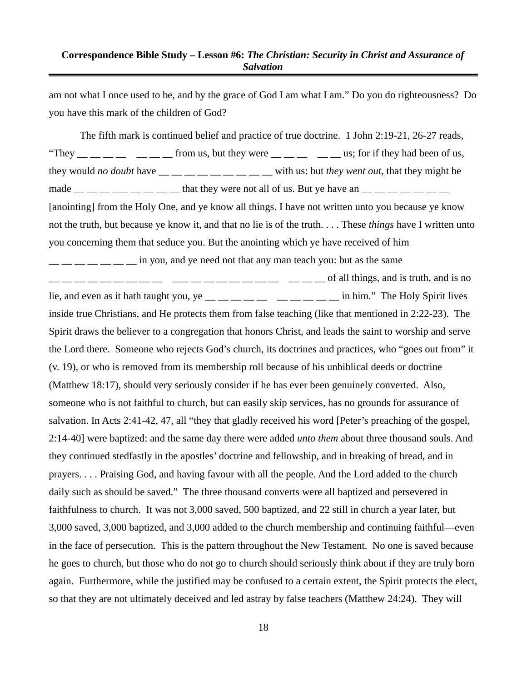am not what I once used to be, and by the grace of God I am what I am." Do you do righteousness? Do you have this mark of the children of God?

The fifth mark is continued belief and practice of true doctrine. 1 John 2:19-21, 26-27 reads, "They  $\frac{m}{m}$   $\frac{m}{m}$   $\frac{m}{m}$   $\frac{m}{m}$  from us, but they were  $\frac{m}{m}$   $\frac{m}{m}$   $\frac{m}{m}$  us; for if they had been of us, they would *no doubt* have  $\frac{m}{m}$   $\frac{m}{m}$   $\frac{m}{m}$   $\frac{m}{m}$  with us: but *they went out*, that they might be made  $\_\_$   $\_\_$   $\_\_$   $\_\_$   $\_\_$  that they were not all of us. But ye have an  $\_\_$   $\_\_$   $\_\_$ [anointing] from the Holy One, and ye know all things. I have not written unto you because ye know not the truth, but because ye know it, and that no lie is of the truth. . . . These *things* have I written unto you concerning them that seduce you. But the anointing which ye have received of him  $\frac{1}{1}$   $\frac{1}{1}$   $\frac{1}{1}$   $\frac{1}{1}$   $\frac{1}{1}$   $\frac{1}{1}$   $\frac{1}{1}$   $\frac{1}{1}$   $\frac{1}{1}$   $\frac{1}{1}$   $\frac{1}{1}$   $\frac{1}{1}$   $\frac{1}{1}$   $\frac{1}{1}$   $\frac{1}{1}$   $\frac{1}{1}$   $\frac{1}{1}$   $\frac{1}{1}$   $\frac{1}{1}$   $\frac{1}{1}$   $\frac{1}{1}$   $\frac{1}{1}$   $\frac{1}{2}$   $\frac{1}{2}$   $\frac{1}{2}$   $\frac{1}{2}$   $\frac{1}{2}$   $\frac{1}{2}$   $\frac{1}{2}$   $\frac{1}{2}$   $\frac{1}{2}$   $\frac{1}{2}$   $\frac{1}{2}$   $\frac{1}{2}$   $\frac{1}{2}$   $\frac{1}{2}$  of all things, and is truth, and is no lie, and even as it hath taught you, ye  $\frac{1}{2}$   $\frac{1}{2}$   $\frac{1}{2}$   $\frac{1}{2}$   $\frac{1}{2}$   $\frac{1}{2}$   $\frac{1}{2}$   $\frac{1}{2}$  in him." The Holy Spirit lives inside true Christians, and He protects them from false teaching (like that mentioned in 2:22-23). The Spirit draws the believer to a congregation that honors Christ, and leads the saint to worship and serve the Lord there. Someone who rejects God's church, its doctrines and practices, who "goes out from" it (v. 19), or who is removed from its membership roll because of his unbiblical deeds or doctrine (Matthew 18:17), should very seriously consider if he has ever been genuinely converted. Also, someone who is not faithful to church, but can easily skip services, has no grounds for assurance of salvation. In Acts 2:41-42, 47, all "they that gladly received his word [Peter's preaching of the gospel, 2:14-40] were baptized: and the same day there were added *unto them* about three thousand souls. And they continued stedfastly in the apostles' doctrine and fellowship, and in breaking of bread, and in prayers. . . . Praising God, and having favour with all the people. And the Lord added to the church daily such as should be saved." The three thousand converts were all baptized and persevered in faithfulness to church. It was not 3,000 saved, 500 baptized, and 22 still in church a year later, but 3,000 saved, 3,000 baptized, and 3,000 added to the church membership and continuing faithful—even in the face of persecution. This is the pattern throughout the New Testament. No one is saved because he goes to church, but those who do not go to church should seriously think about if they are truly born again. Furthermore, while the justified may be confused to a certain extent, the Spirit protects the elect, so that they are not ultimately deceived and led astray by false teachers (Matthew 24:24). They will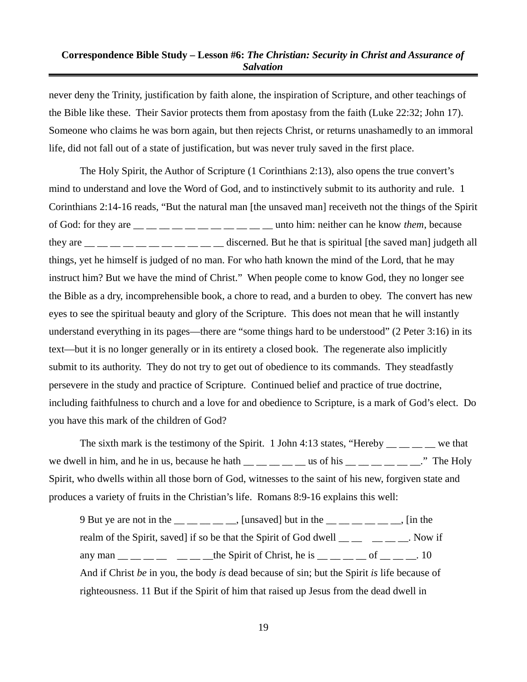never deny the Trinity, justification by faith alone, the inspiration of Scripture, and other teachings of the Bible like these. Their Savior protects them from apostasy from the faith (Luke 22:32; John 17). Someone who claims he was born again, but then rejects Christ, or returns unashamedly to an immoral life, did not fall out of a state of justification, but was never truly saved in the first place.

The Holy Spirit, the Author of Scripture (1 Corinthians 2:13), also opens the true convert's mind to understand and love the Word of God, and to instinctively submit to its authority and rule. 1 Corinthians 2:14-16 reads, "But the natural man [the unsaved man] receiveth not the things of the Spirit of God: for they are \_\_ \_\_ \_\_ \_\_ \_\_ \_\_ \_\_ \_\_ \_\_ \_\_ \_\_ unto him: neither can he know *them*, because they are  $\frac{1}{1}$   $\frac{1}{1}$   $\frac{1}{1}$   $\frac{1}{1}$   $\frac{1}{1}$   $\frac{1}{1}$   $\frac{1}{1}$   $\frac{1}{1}$   $\frac{1}{1}$   $\frac{1}{1}$   $\frac{1}{1}$   $\frac{1}{1}$   $\frac{1}{1}$   $\frac{1}{1}$   $\frac{1}{1}$   $\frac{1}{1}$   $\frac{1}{1}$   $\frac{1}{1}$   $\frac{1}{1}$   $\frac{1}{1}$   $\frac{1}{1}$   $\$ things, yet he himself is judged of no man. For who hath known the mind of the Lord, that he may instruct him? But we have the mind of Christ." When people come to know God, they no longer see the Bible as a dry, incomprehensible book, a chore to read, and a burden to obey. The convert has new eyes to see the spiritual beauty and glory of the Scripture. This does not mean that he will instantly understand everything in its pages—there are "some things hard to be understood" (2 Peter 3:16) in its text—but it is no longer generally or in its entirety a closed book. The regenerate also implicitly submit to its authority. They do not try to get out of obedience to its commands. They steadfastly persevere in the study and practice of Scripture. Continued belief and practice of true doctrine, including faithfulness to church and a love for and obedience to Scripture, is a mark of God's elect. Do you have this mark of the children of God?

The sixth mark is the testimony of the Spirit. 1 John 4:13 states, "Hereby  $\frac{1}{\sqrt{2}}$  we that we dwell in him, and he in us, because he hath  $\_\_\_\_\_\_\_\_\_\$ us of his  $\_\_\_\_\_\_\_\_\_\_\_$ ." The Holy Spirit, who dwells within all those born of God, witnesses to the saint of his new, forgiven state and produces a variety of fruits in the Christian's life. Romans 8:9-16 explains this well:

9 But ye are not in the  $\frac{1}{2}$   $\frac{1}{2}$   $\frac{1}{2}$  [unsaved] but in the  $\frac{1}{2}$   $\frac{1}{2}$   $\frac{1}{2}$   $\frac{1}{2}$  [in the realm of the Spirit, saved] if so be that the Spirit of God dwell  $\frac{m}{m}$   $\frac{m}{m}$   $\frac{m}{m}$ . Now if any man  $\frac{1}{\sqrt{2}}$  \_\_ \_\_ \_\_ \_\_ \_\_ \_\_ the Spirit of Christ, he is \_\_ \_\_ \_\_ of \_\_ \_\_ .10 And if Christ *be* in you, the body *is* dead because of sin; but the Spirit *is* life because of righteousness. 11 But if the Spirit of him that raised up Jesus from the dead dwell in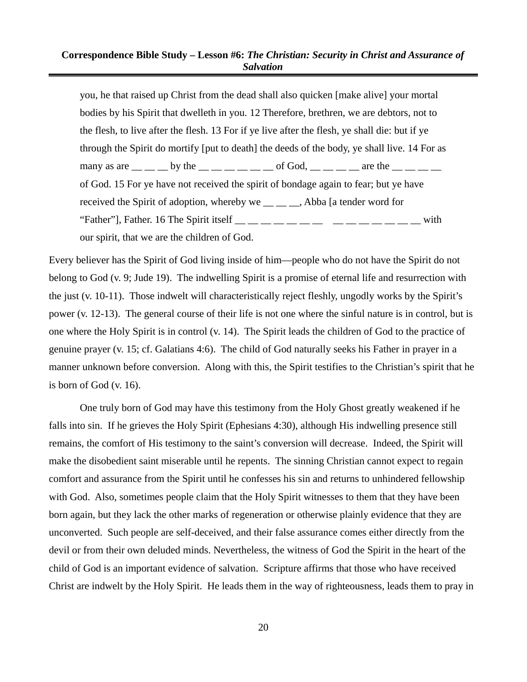you, he that raised up Christ from the dead shall also quicken [make alive] your mortal bodies by his Spirit that dwelleth in you. 12 Therefore, brethren, we are debtors, not to the flesh, to live after the flesh. 13 For if ye live after the flesh, ye shall die: but if ye through the Spirit do mortify [put to death] the deeds of the body, ye shall live. 14 For as many as are  $\_\_$  by the  $\_\_$   $\_\_$   $\_\_$  of God,  $\_\_$   $\_\_$  are the  $\_\_$ of God. 15 For ye have not received the spirit of bondage again to fear; but ye have received the Spirit of adoption, whereby we <sub>\_\_</sub> \_\_ \_\_, Abba [a tender word for "Father"], Father. 16 The Spirit itself  $\_\_\_\_$   $\_\_$   $\_\_$   $\_\_$   $\_\_$   $\_\_$   $\_\_$  with our spirit, that we are the children of God.

Every believer has the Spirit of God living inside of him—people who do not have the Spirit do not belong to God (v. 9; Jude 19). The indwelling Spirit is a promise of eternal life and resurrection with the just (v. 10-11). Those indwelt will characteristically reject fleshly, ungodly works by the Spirit's power (v. 12-13). The general course of their life is not one where the sinful nature is in control, but is one where the Holy Spirit is in control (v. 14). The Spirit leads the children of God to the practice of genuine prayer (v. 15; cf. Galatians 4:6). The child of God naturally seeks his Father in prayer in a manner unknown before conversion. Along with this, the Spirit testifies to the Christian's spirit that he is born of God (v. 16).

One truly born of God may have this testimony from the Holy Ghost greatly weakened if he falls into sin. If he grieves the Holy Spirit (Ephesians 4:30), although His indwelling presence still remains, the comfort of His testimony to the saint's conversion will decrease. Indeed, the Spirit will make the disobedient saint miserable until he repents. The sinning Christian cannot expect to regain comfort and assurance from the Spirit until he confesses his sin and returns to unhindered fellowship with God. Also, sometimes people claim that the Holy Spirit witnesses to them that they have been born again, but they lack the other marks of regeneration or otherwise plainly evidence that they are unconverted. Such people are self-deceived, and their false assurance comes either directly from the devil or from their own deluded minds. Nevertheless, the witness of God the Spirit in the heart of the child of God is an important evidence of salvation. Scripture affirms that those who have received Christ are indwelt by the Holy Spirit. He leads them in the way of righteousness, leads them to pray in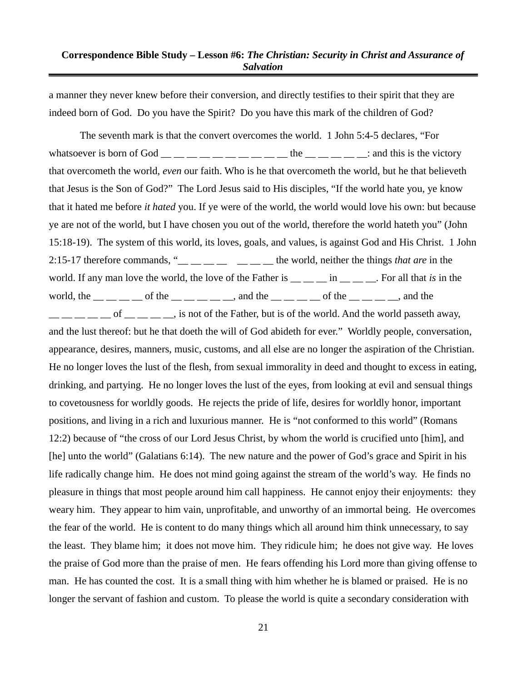a manner they never knew before their conversion, and directly testifies to their spirit that they are indeed born of God. Do you have the Spirit? Do you have this mark of the children of God?

The seventh mark is that the convert overcomes the world. 1 John 5:4-5 declares, "For whatsoever is born of God  $\_\_\_\_\_\_\_\_\_\_\_\_\_\_$  the  $\_\_\_\_\_\_\_\_\_$ : and this is the victory that overcometh the world, *even* our faith. Who is he that overcometh the world, but he that believeth that Jesus is the Son of God?" The Lord Jesus said to His disciples, "If the world hate you, ye know that it hated me before *it hated* you. If ye were of the world, the world would love his own: but because ye are not of the world, but I have chosen you out of the world, therefore the world hateth you" (John 15:18-19). The system of this world, its loves, goals, and values, is against God and His Christ. 1 John 2:15-17 therefore commands, "\_\_ \_\_ \_\_ \_\_ \_\_ \_\_ \_\_ the world, neither the things *that are* in the world. If any man love the world, the love of the Father is  $\frac{1}{1}$  in  $\frac{1}{1}$   $\frac{1}{1}$  For all that *is* in the world, the  $\frac{1}{\sqrt{2}}$  of the  $\frac{1}{\sqrt{2}}$  and the  $\frac{1}{\sqrt{2}}$  and the  $\frac{1}{\sqrt{2}}$  of the  $\frac{1}{\sqrt{2}}$  and the  $\frac{1}{1}$  \_ \_ \_ \_ of \_ \_ \_ \_ \_ js not of the Father, but is of the world. And the world passeth away, and the lust thereof: but he that doeth the will of God abideth for ever." Worldly people, conversation, appearance, desires, manners, music, customs, and all else are no longer the aspiration of the Christian. He no longer loves the lust of the flesh, from sexual immorality in deed and thought to excess in eating, drinking, and partying. He no longer loves the lust of the eyes, from looking at evil and sensual things to covetousness for worldly goods. He rejects the pride of life, desires for worldly honor, important positions, and living in a rich and luxurious manner. He is "not conformed to this world" (Romans 12:2) because of "the cross of our Lord Jesus Christ, by whom the world is crucified unto [him], and [he] unto the world" (Galatians 6:14). The new nature and the power of God's grace and Spirit in his life radically change him. He does not mind going against the stream of the world's way. He finds no pleasure in things that most people around him call happiness. He cannot enjoy their enjoyments: they weary him. They appear to him vain, unprofitable, and unworthy of an immortal being. He overcomes the fear of the world. He is content to do many things which all around him think unnecessary, to say the least. They blame him; it does not move him. They ridicule him; he does not give way. He loves the praise of God more than the praise of men. He fears offending his Lord more than giving offense to man. He has counted the cost. It is a small thing with him whether he is blamed or praised. He is no longer the servant of fashion and custom. To please the world is quite a secondary consideration with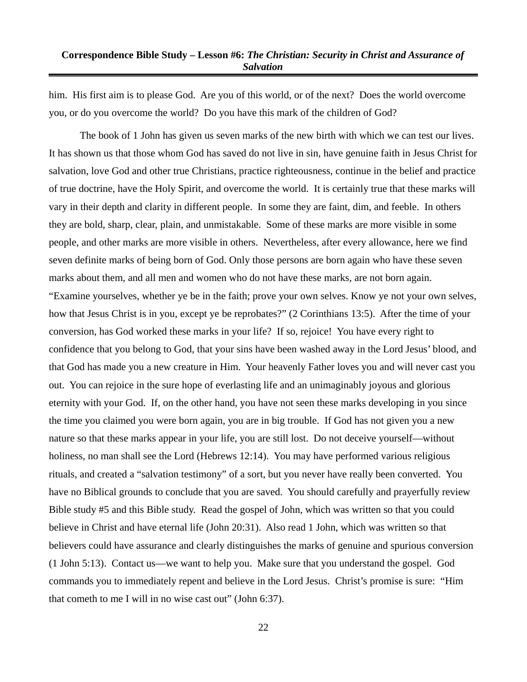him. His first aim is to please God. Are you of this world, or of the next? Does the world overcome you, or do you overcome the world? Do you have this mark of the children of God?

The book of 1 John has given us seven marks of the new birth with which we can test our lives. It has shown us that those whom God has saved do not live in sin, have genuine faith in Jesus Christ for salvation, love God and other true Christians, practice righteousness, continue in the belief and practice of true doctrine, have the Holy Spirit, and overcome the world. It is certainly true that these marks will vary in their depth and clarity in different people. In some they are faint, dim, and feeble. In others they are bold, sharp, clear, plain, and unmistakable. Some of these marks are more visible in some people, and other marks are more visible in others. Nevertheless, after every allowance, here we find seven definite marks of being born of God. Only those persons are born again who have these seven marks about them, and all men and women who do not have these marks, are not born again. "Examine yourselves, whether ye be in the faith; prove your own selves. Know ye not your own selves, how that Jesus Christ is in you, except ye be reprobates?" (2 Corinthians 13:5). After the time of your conversion, has God worked these marks in your life? If so, rejoice! You have every right to confidence that you belong to God, that your sins have been washed away in the Lord Jesus' blood, and that God has made you a new creature in Him. Your heavenly Father loves you and will never cast you out. You can rejoice in the sure hope of everlasting life and an unimaginably joyous and glorious eternity with your God. If, on the other hand, you have not seen these marks developing in you since the time you claimed you were born again, you are in big trouble. If God has not given you a new nature so that these marks appear in your life, you are still lost. Do not deceive yourself—without holiness, no man shall see the Lord (Hebrews 12:14). You may have performed various religious rituals, and created a "salvation testimony" of a sort, but you never have really been converted. You have no Biblical grounds to conclude that you are saved. You should carefully and prayerfully review Bible study #5 and this Bible study. Read the gospel of John, which was written so that you could believe in Christ and have eternal life (John 20:31). Also read 1 John, which was written so that believers could have assurance and clearly distinguishes the marks of genuine and spurious conversion (1 John 5:13). Contact us—we want to help you. Make sure that you understand the gospel. God commands you to immediately repent and believe in the Lord Jesus. Christ's promise is sure: "Him that cometh to me I will in no wise cast out" (John 6:37).

22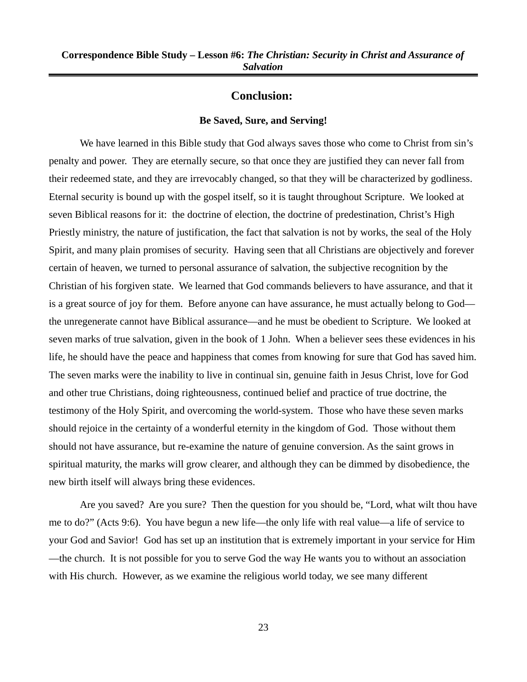# **Conclusion:**

#### **Be Saved, Sure, and Serving!**

We have learned in this Bible study that God always saves those who come to Christ from sin's penalty and power. They are eternally secure, so that once they are justified they can never fall from their redeemed state, and they are irrevocably changed, so that they will be characterized by godliness. Eternal security is bound up with the gospel itself, so it is taught throughout Scripture. We looked at seven Biblical reasons for it: the doctrine of election, the doctrine of predestination, Christ's High Priestly ministry, the nature of justification, the fact that salvation is not by works, the seal of the Holy Spirit, and many plain promises of security. Having seen that all Christians are objectively and forever certain of heaven, we turned to personal assurance of salvation, the subjective recognition by the Christian of his forgiven state. We learned that God commands believers to have assurance, and that it is a great source of joy for them. Before anyone can have assurance, he must actually belong to God the unregenerate cannot have Biblical assurance—and he must be obedient to Scripture. We looked at seven marks of true salvation, given in the book of 1 John. When a believer sees these evidences in his life, he should have the peace and happiness that comes from knowing for sure that God has saved him. The seven marks were the inability to live in continual sin, genuine faith in Jesus Christ, love for God and other true Christians, doing righteousness, continued belief and practice of true doctrine, the testimony of the Holy Spirit, and overcoming the world-system. Those who have these seven marks should rejoice in the certainty of a wonderful eternity in the kingdom of God. Those without them should not have assurance, but re-examine the nature of genuine conversion. As the saint grows in spiritual maturity, the marks will grow clearer, and although they can be dimmed by disobedience, the new birth itself will always bring these evidences.

Are you saved? Are you sure? Then the question for you should be, "Lord, what wilt thou have me to do?" (Acts 9:6). You have begun a new life—the only life with real value—a life of service to your God and Savior! God has set up an institution that is extremely important in your service for Him —the church. It is not possible for you to serve God the way He wants you to without an association with His church. However, as we examine the religious world today, we see many different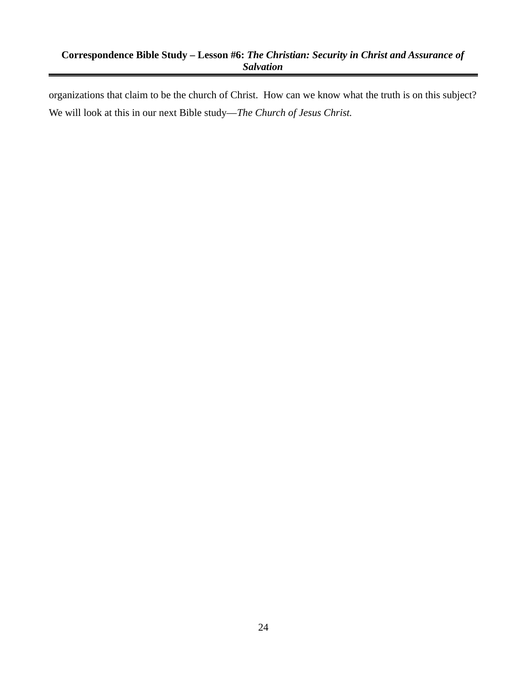organizations that claim to be the church of Christ. How can we know what the truth is on this subject? We will look at this in our next Bible study—*The Church of Jesus Christ.*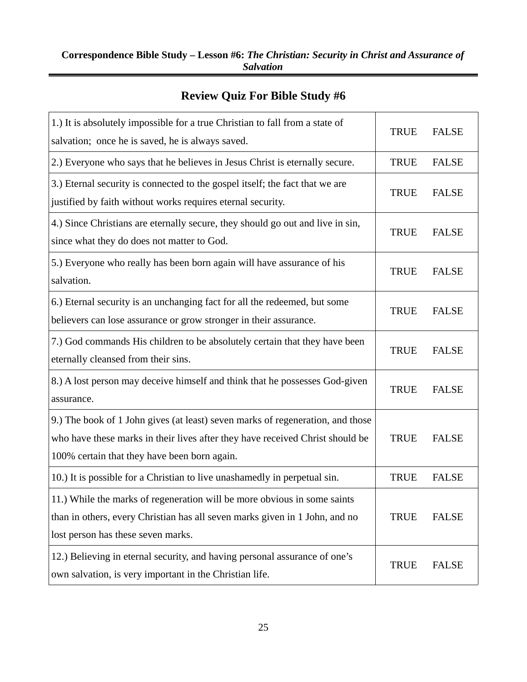# **Review Quiz For Bible Study #6**

| 1.) It is absolutely impossible for a true Christian to fall from a state of<br>salvation; once he is saved, he is always saved.                                                                                | <b>TRUE</b> | <b>FALSE</b> |
|-----------------------------------------------------------------------------------------------------------------------------------------------------------------------------------------------------------------|-------------|--------------|
| 2.) Everyone who says that he believes in Jesus Christ is eternally secure.                                                                                                                                     | <b>TRUE</b> | <b>FALSE</b> |
| 3.) Eternal security is connected to the gospel itself; the fact that we are<br>justified by faith without works requires eternal security.                                                                     | <b>TRUE</b> | <b>FALSE</b> |
| 4.) Since Christians are eternally secure, they should go out and live in sin,<br>since what they do does not matter to God.                                                                                    | <b>TRUE</b> | <b>FALSE</b> |
| 5.) Everyone who really has been born again will have assurance of his<br>salvation.                                                                                                                            | <b>TRUE</b> | <b>FALSE</b> |
| 6.) Eternal security is an unchanging fact for all the redeemed, but some<br>believers can lose assurance or grow stronger in their assurance.                                                                  | <b>TRUE</b> | <b>FALSE</b> |
| 7.) God commands His children to be absolutely certain that they have been<br>eternally cleansed from their sins.                                                                                               | <b>TRUE</b> | <b>FALSE</b> |
| 8.) A lost person may deceive himself and think that he possesses God-given<br>assurance.                                                                                                                       | <b>TRUE</b> | <b>FALSE</b> |
| 9.) The book of 1 John gives (at least) seven marks of regeneration, and those<br>who have these marks in their lives after they have received Christ should be<br>100% certain that they have been born again. | <b>TRUE</b> | <b>FALSE</b> |
| 10.) It is possible for a Christian to live unashamedly in perpetual sin.                                                                                                                                       | <b>TRUE</b> | <b>FALSE</b> |
| 11.) While the marks of regeneration will be more obvious in some saints<br>than in others, every Christian has all seven marks given in 1 John, and no<br>lost person has these seven marks.                   | <b>TRUE</b> | <b>FALSE</b> |
| 12.) Believing in eternal security, and having personal assurance of one's<br>own salvation, is very important in the Christian life.                                                                           | <b>TRUE</b> | <b>FALSE</b> |